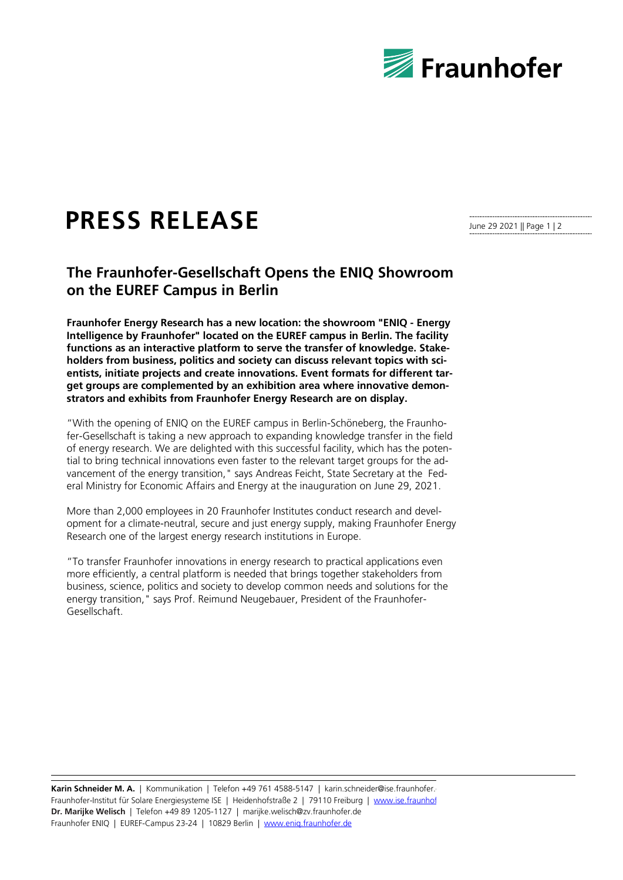

## **PRESS RELEASE**

June 29 2021 || Page 1 | 2

## **The Fraunhofer-Gesellschaft Opens the ENIQ Showroom on the EUREF Campus in Berlin**

**Fraunhofer Energy Research has a new location: the showroom "ENIQ - Energy Intelligence by Fraunhofer" located on the EUREF campus in Berlin. The facility functions as an interactive platform to serve the transfer of knowledge. Stakeholders from business, politics and society can discuss relevant topics with scientists, initiate projects and create innovations. Event formats for different target groups are complemented by an exhibition area where innovative demonstrators and exhibits from Fraunhofer Energy Research are on display.**

"With the opening of ENIQ on the EUREF campus in Berlin-Schöneberg, the Fraunhofer-Gesellschaft is taking a new approach to expanding knowledge transfer in the field of energy research. We are delighted with this successful facility, which has the potential to bring technical innovations even faster to the relevant target groups for the advancement of the energy transition," says Andreas Feicht, State Secretary at the Federal Ministry for Economic Affairs and Energy at the inauguration on June 29, 2021.

More than 2,000 employees in 20 Fraunhofer Institutes conduct research and development for a climate-neutral, secure and just energy supply, making Fraunhofer Energy Research one of the largest energy research institutions in Europe.

"To transfer Fraunhofer innovations in energy research to practical applications even more efficiently, a central platform is needed that brings together stakeholders from business, science, politics and society to develop common needs and solutions for the energy transition," says Prof. Reimund Neugebauer, President of the Fraunhofer-Gesellschaft.

Karin Schneider M. A. | Kommunikation | Telefon +49 761 4588-5147 | karin.schneider@ise.fraunhofer. Fraunhofer-Institut für Solare Energiesysteme ISE | Heidenhofstraße 2 | 79110 Freiburg | www.ise.fraunhof **Dr. Marijke Welisch** | Telefon +49 89 1205-1127 | marijke.welisch@zv.fraunhofer.de Fraunhofer ENIQ | EUREF-Campus 23-24 | 10829 Berlin | www.enig.fraunhofer.de